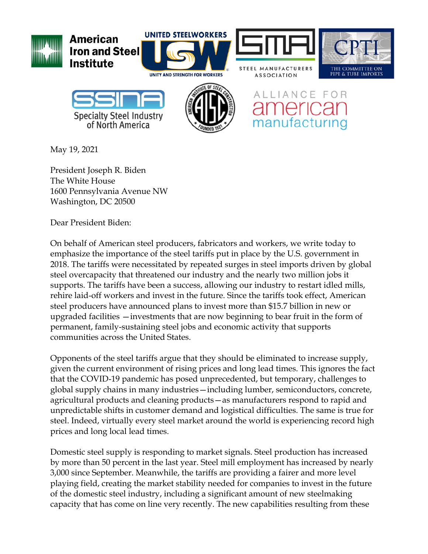

May 19, 2021

President Joseph R. Biden The White House 1600 Pennsylvania Avenue NW Washington, DC 20500

Dear President Biden:

On behalf of American steel producers, fabricators and workers, we write today to emphasize the importance of the steel tariffs put in place by the U.S. government in 2018. The tariffs were necessitated by repeated surges in steel imports driven by global steel overcapacity that threatened our industry and the nearly two million jobs it supports. The tariffs have been a success, allowing our industry to restart idled mills, rehire laid-off workers and invest in the future. Since the tariffs took effect, American steel producers have announced plans to invest more than \$15.7 billion in new or upgraded facilities —investments that are now beginning to bear fruit in the form of permanent, family-sustaining steel jobs and economic activity that supports communities across the United States.

Opponents of the steel tariffs argue that they should be eliminated to increase supply, given the current environment of rising prices and long lead times. This ignores the fact that the COVID-19 pandemic has posed unprecedented, but temporary, challenges to global supply chains in many industries—including lumber, semiconductors, concrete, agricultural products and cleaning products—as manufacturers respond to rapid and unpredictable shifts in customer demand and logistical difficulties. The same is true for steel. Indeed, virtually every steel market around the world is experiencing record high prices and long local lead times.

Domestic steel supply is responding to market signals. Steel production has increased by more than 50 percent in the last year. Steel mill employment has increased by nearly 3,000 since September. Meanwhile, the tariffs are providing a fairer and more level playing field, creating the market stability needed for companies to invest in the future of the domestic steel industry, including a significant amount of new steelmaking capacity that has come on line very recently. The new capabilities resulting from these